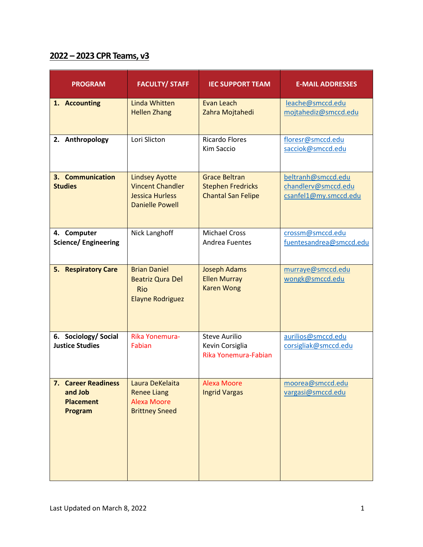## **2022 – 2023 CPR Teams, v3**

| <b>PROGRAM</b>                                                | <b>FACULTY/ STAFF</b>                                                                                | <b>IEC SUPPORT TEAM</b>                                                       | <b>E-MAIL ADDRESSES</b>                                            |
|---------------------------------------------------------------|------------------------------------------------------------------------------------------------------|-------------------------------------------------------------------------------|--------------------------------------------------------------------|
| 1. Accounting                                                 | Linda Whitten<br><b>Hellen Zhang</b>                                                                 | Evan Leach<br>Zahra Mojtahedi                                                 | leache@smccd.edu<br>mojtahediz@smccd.edu                           |
| 2. Anthropology                                               | Lori Slicton                                                                                         | <b>Ricardo Flores</b><br>Kim Saccio                                           | floresr@smccd.edu<br>sacciok@smccd.edu                             |
| 3. Communication<br><b>Studies</b>                            | <b>Lindsey Ayotte</b><br><b>Vincent Chandler</b><br><b>Jessica Hurless</b><br><b>Danielle Powell</b> | <b>Grace Beltran</b><br><b>Stephen Fredricks</b><br><b>Chantal San Felipe</b> | beltranh@smccd.edu<br>chandlerv@smccd.edu<br>csanfel1@my.smccd.edu |
| 4. Computer<br><b>Science/ Engineering</b>                    | Nick Langhoff                                                                                        | <b>Michael Cross</b><br>Andrea Fuentes                                        | crossm@smccd.edu<br>fuentesandrea@smccd.edu                        |
| 5.<br><b>Respiratory Care</b>                                 | <b>Brian Daniel</b><br><b>Beatriz Qura Del</b><br><b>Rio</b><br><b>Elayne Rodriguez</b>              | <b>Joseph Adams</b><br><b>Ellen Murray</b><br><b>Karen Wong</b>               | murraye@smccd.edu<br>wongk@smccd.edu                               |
| 6. Sociology/Social<br><b>Justice Studies</b>                 | Rika Yonemura-<br>Fabian                                                                             | <b>Steve Aurilio</b><br>Kevin Corsiglia<br>Rika Yonemura-Fabian               | aurilios@smccd.edu<br>corsigliak@smccd.edu                         |
| 7. Career Readiness<br>and Job<br><b>Placement</b><br>Program | Laura DeKelaita<br><b>Renee Liang</b><br><b>Alexa Moore</b><br><b>Brittney Sneed</b>                 | <b>Alexa Moore</b><br><b>Ingrid Vargas</b>                                    | moorea@smccd.edu<br>vargasi@smccd.edu                              |